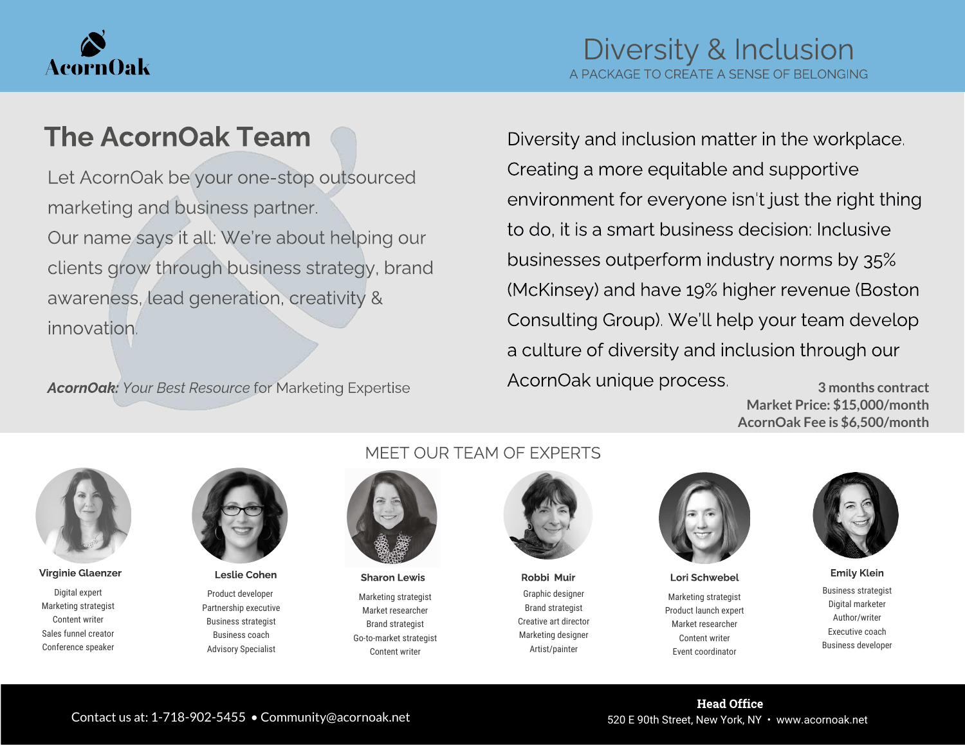

## The AcornOak Team

Let AcornOak be your one-stop outsourced Our name says it all: We're about helping our clients grow through business strategy, brand clients grow through business strategy, brands awareness, lead generation, creativity &

AcornOak: Your Best Resource for Marketing Expertise

Diversity and inclusion matter in the workplace.<br>Creating a more equitable and supportive Creating a more equitable and supportive environment for everyone isn't just the right thing to do, it is a smart business decision: Inclusive<br>businesses outperform industry norms by 35% (McKinsey) and have 19% higher revenue (Boston Consulting Group). We'll help your team develop Consulting Group). We'll help your team develop a culture of diversity and inclusion through our AcornOak unique process. **3 months contract**

**Market Price: \$15,000/month AcornOak Fee is \$6,500/month**



Digital expert Marketing strategist Content writer Sales funnel creator Conference speaker



Product developer Partnership executive Business strategist Business coach Advisory Specialist

#### MEET OUR TEAM OF EXPERTS



Marketing strategist Market researcher Brand strategist Go-to-market strategist Content writer

Graphic designer Brand strategist Creative art director Marketing designer Artist/painter



Marketing strategist Product launch expert Market researcher Content writer Event coordinator Virginie Glaenzer Leslie Cohen Sharon Lewis Robbi Muir Lori Schwebel Emily Klein



Business strategist Digital marketer Author/writer Executive coach Business developer